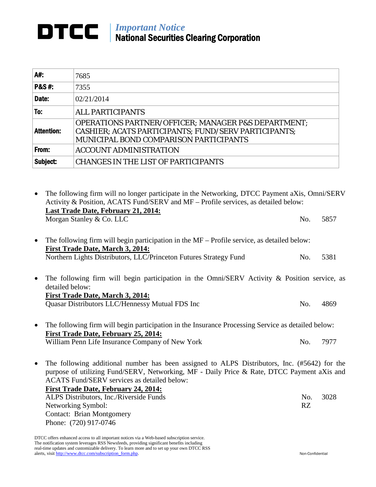## *Important Notice* National Securities Clearing Corporation

| A#:               | 7685                                                                                                                                                                    |
|-------------------|-------------------------------------------------------------------------------------------------------------------------------------------------------------------------|
| <b>P&amp;S#:</b>  | 7355                                                                                                                                                                    |
| Date:             | 02/21/2014                                                                                                                                                              |
| To:               | <b>ALL PARTICIPANTS</b>                                                                                                                                                 |
| <b>Attention:</b> | <b>OPERATIONS PARTNER/OFFICER; MANAGER P&amp;S DEPARTMENT;</b><br>CASHIER; ACATS PARTICIPANTS; FUND/SERV PARTICIPANTS;<br><b>MUNICIPAL BOND COMPARISON PARTICIPANTS</b> |
| From:             | <b>ACCOUNT ADMINISTRATION</b>                                                                                                                                           |
| Subject:          | <b>CHANGES IN THE LIST OF PARTICIPANTS</b>                                                                                                                              |

• The following firm will no longer participate in the Networking, DTCC Payment aXis, Omni/SERV Activity & Position, ACATS Fund/SERV and MF – Profile services, as detailed below: **Last Trade Date, February 21, 2014:** Morgan Stanley & Co. LLC No. 5857 • The following firm will begin participation in the MF – Profile service, as detailed below: **First Trade Date, March 3, 2014:** Northern Lights Distributors, LLC/Princeton Futures Strategy Fund No. 5381 • The following firm will begin participation in the Omni/SERV Activity & Position service, as detailed below: **First Trade Date, March 3, 2014:** Quasar Distributors LLC/Hennessy Mutual FDS Inc No. 4869 • The following firm will begin participation in the Insurance Processing Service as detailed below:

- **First Trade Date, February 25, 2014:** William Penn Life Insurance Company of New York No. 7977
- The following additional number has been assigned to ALPS Distributors, Inc. (#5642) for the purpose of utilizing Fund/SERV, Networking, MF - Daily Price & Rate, DTCC Payment aXis and ACATS Fund/SERV services as detailed below: **First Trade Date, February 24, 2014:** ALPS Distributors, Inc./Riverside Funds No. 3028 Networking Symbol: RZ Contact: Brian Montgomery Phone: (720) 917-0746

DTCC offers enhanced access to all important notices via a Web-based subscription service. The notification system leverages RSS Newsfeeds, providing significant benefits including real-time updates and customizable delivery. To learn more and to set up your own DTCC RSS alerts, visi[t http://www.dtcc.com/subscription\\_form.php.](http://www.dtcc.com/subscription_form.php) Non-Confidential